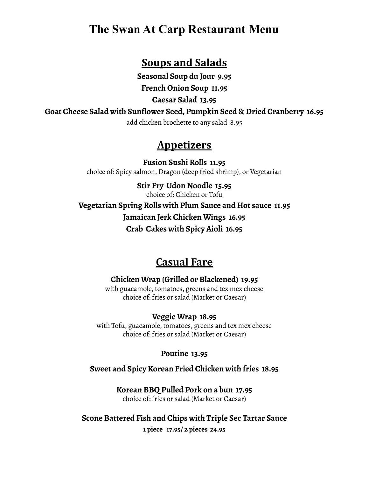# **The Swan At Carp Restaurant Menu**

## **Soups and Salads**

**Seasonal Soup du Jour 9.95**

**French Onion Soup 11.95**

**Caesar Salad 13.95**

**Goat Cheese Salad with Sunflower Seed, Pumpkin Seed & Dried Cranberry 16.95**

add chicken brochette to any salad 8.95

# **Appetizers**

**Fusion Sushi Rolls 11.95** choice of: Spicy salmon, Dragon (deep fried shrimp), or Vegetarian

**Stir Fry Udon Noodle 15.95** choice of: Chicken or Tofu **Vegetarian Spring Rolls with Plum Sauce and Hot sauce 11.95 Jamaican Jerk Chicken Wings 16.95 Crab Cakes with Spicy Aioli 16.95**

# **Casual Fare**

**Chicken Wrap (Grilled or Blackened) 19.95** with guacamole, tomatoes, greens and tex mex cheese choice of: fries or salad (Market or Caesar)

**Veggie Wrap 18.95** with Tofu, guacamole, tomatoes, greens and tex mex cheese choice of: fries or salad (Market or Caesar)

**Poutine 13.95**

**Sweet and Spicy Korean Fried Chicken with fries 18.95**

**Korean BBQ Pulled Pork on a bun 17.95** choice of: fries or salad (Market or Caesar)

**Scone Battered Fish and Chips with Triple Sec Tartar Sauce 1 piece 17.95/ 2 pieces 24.95**